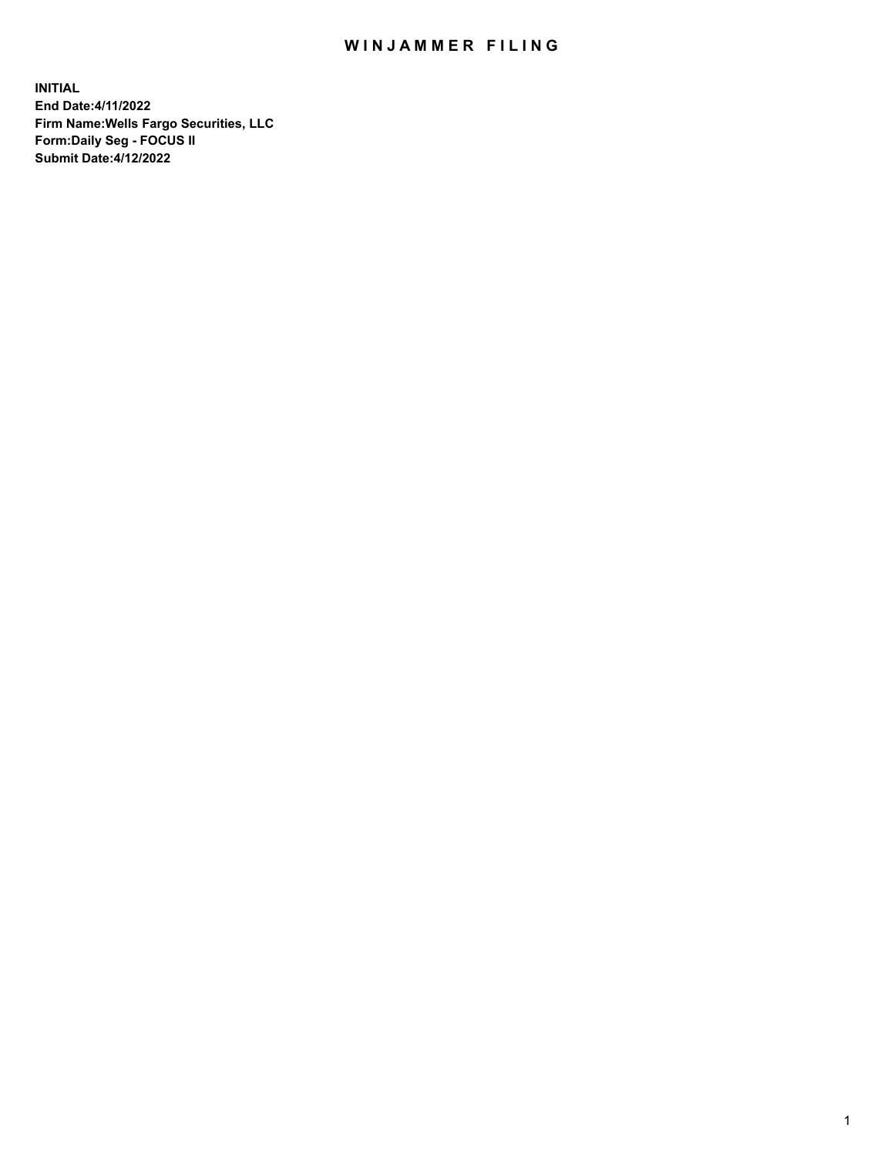## WIN JAMMER FILING

**INITIAL End Date:4/11/2022 Firm Name:Wells Fargo Securities, LLC Form:Daily Seg - FOCUS II Submit Date:4/12/2022**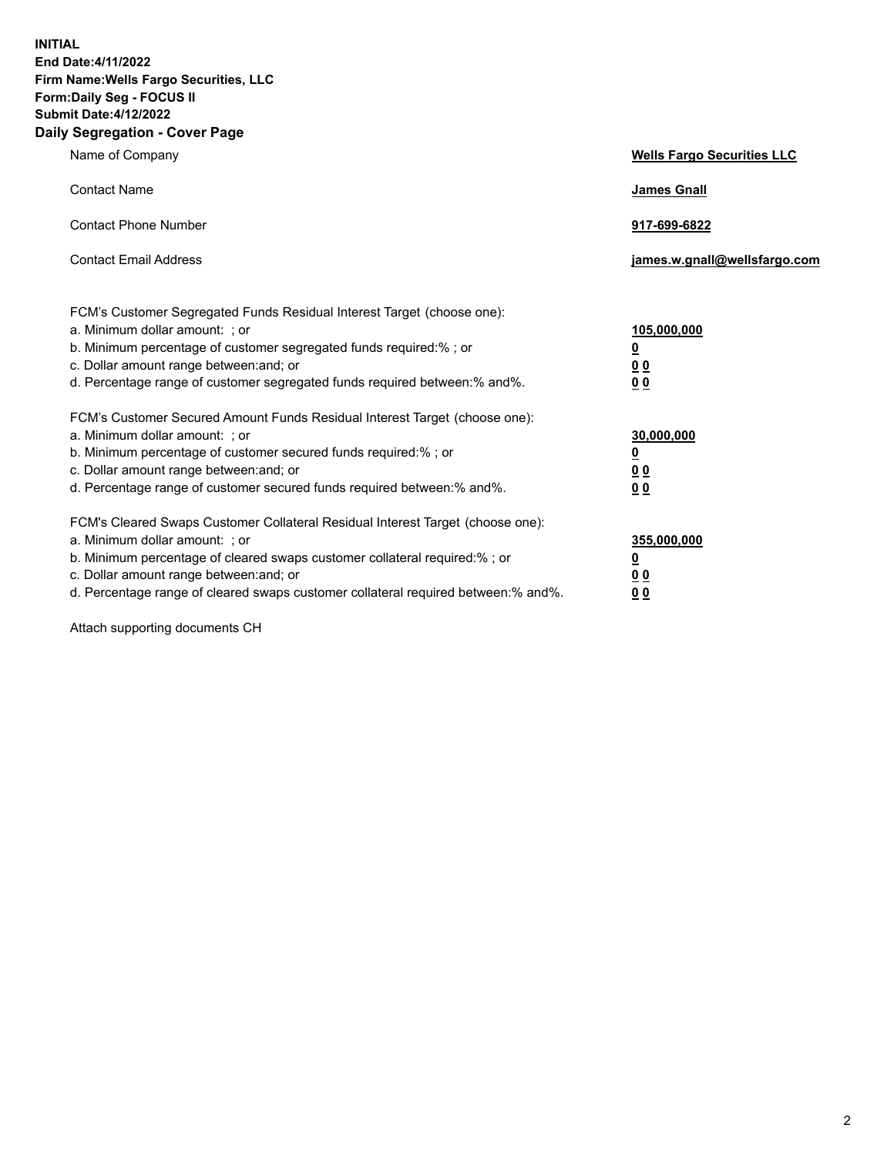**INITIAL End Date:4/11/2022 Firm Name:Wells Fargo Securities, LLC Form:Daily Seg - FOCUS II Submit Date:4/12/2022 Daily Segregation - Cover Page**

| Name of Company                                                                                                                                                                                                                                                                                                                | <b>Wells Fargo Securities LLC</b>                          |
|--------------------------------------------------------------------------------------------------------------------------------------------------------------------------------------------------------------------------------------------------------------------------------------------------------------------------------|------------------------------------------------------------|
| <b>Contact Name</b>                                                                                                                                                                                                                                                                                                            | <b>James Gnall</b>                                         |
| <b>Contact Phone Number</b>                                                                                                                                                                                                                                                                                                    | 917-699-6822                                               |
| <b>Contact Email Address</b>                                                                                                                                                                                                                                                                                                   | james.w.gnall@wellsfargo.com                               |
| FCM's Customer Segregated Funds Residual Interest Target (choose one):<br>a. Minimum dollar amount: ; or<br>b. Minimum percentage of customer segregated funds required:% ; or<br>c. Dollar amount range between: and; or<br>d. Percentage range of customer segregated funds required between:% and%.                         | 105,000,000<br><u>0</u><br>0 <sub>0</sub><br>00            |
| FCM's Customer Secured Amount Funds Residual Interest Target (choose one):<br>a. Minimum dollar amount: ; or<br>b. Minimum percentage of customer secured funds required:%; or<br>c. Dollar amount range between: and; or<br>d. Percentage range of customer secured funds required between:% and%.                            | 30,000,000<br><u>0</u><br>0 <sub>0</sub><br>0 <sub>0</sub> |
| FCM's Cleared Swaps Customer Collateral Residual Interest Target (choose one):<br>a. Minimum dollar amount: ; or<br>b. Minimum percentage of cleared swaps customer collateral required:% ; or<br>c. Dollar amount range between: and; or<br>d. Percentage range of cleared swaps customer collateral required between:% and%. | 355,000,000<br><u>0</u><br>00<br>00                        |

Attach supporting documents CH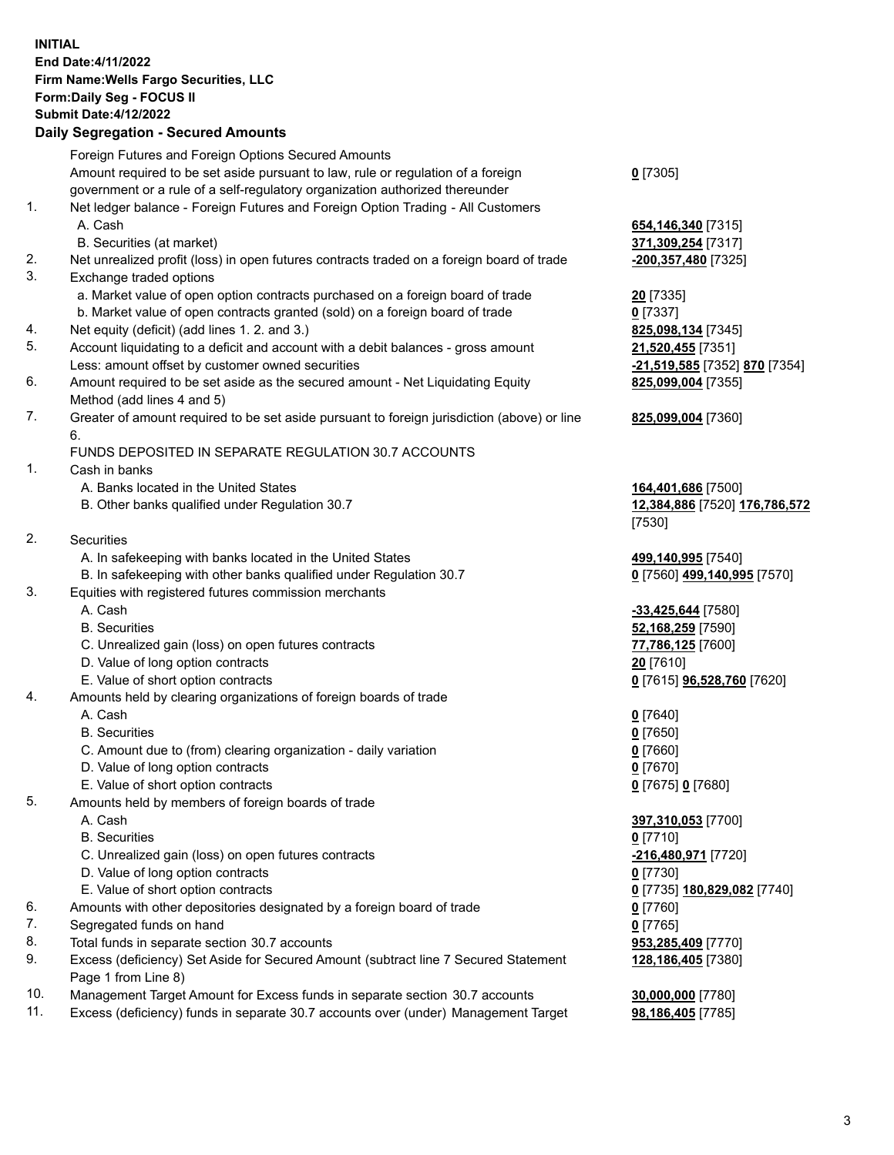**INITIAL End Date:4/11/2022 Firm Name:Wells Fargo Securities, LLC Form:Daily Seg - FOCUS II Submit Date:4/12/2022**

## **Daily Segregation - Secured Amounts**

|     | Foreign Futures and Foreign Options Secured Amounts                                         |                                          |
|-----|---------------------------------------------------------------------------------------------|------------------------------------------|
|     | Amount required to be set aside pursuant to law, rule or regulation of a foreign            | $0$ [7305]                               |
|     | government or a rule of a self-regulatory organization authorized thereunder                |                                          |
| 1.  | Net ledger balance - Foreign Futures and Foreign Option Trading - All Customers             |                                          |
|     | A. Cash                                                                                     | 654, 146, 340 [7315]                     |
|     | B. Securities (at market)                                                                   | 371,309,254 [7317]                       |
| 2.  | Net unrealized profit (loss) in open futures contracts traded on a foreign board of trade   | -200,357,480 [7325]                      |
| 3.  | Exchange traded options                                                                     |                                          |
|     | a. Market value of open option contracts purchased on a foreign board of trade              | <b>20</b> [7335]                         |
|     | b. Market value of open contracts granted (sold) on a foreign board of trade                | $0$ [7337]                               |
| 4.  | Net equity (deficit) (add lines 1. 2. and 3.)                                               | 825,098,134 [7345]                       |
| 5.  | Account liquidating to a deficit and account with a debit balances - gross amount           | 21,520,455 [7351]                        |
|     | Less: amount offset by customer owned securities                                            | -21,519,585 [7352] 870 [7354]            |
| 6.  | Amount required to be set aside as the secured amount - Net Liquidating Equity              | 825,099,004 [7355]                       |
|     | Method (add lines 4 and 5)                                                                  |                                          |
| 7.  | Greater of amount required to be set aside pursuant to foreign jurisdiction (above) or line | 825,099,004 [7360]                       |
|     | 6.                                                                                          |                                          |
|     | FUNDS DEPOSITED IN SEPARATE REGULATION 30.7 ACCOUNTS                                        |                                          |
| 1.  | Cash in banks                                                                               |                                          |
|     | A. Banks located in the United States                                                       | 164,401,686 [7500]                       |
|     | B. Other banks qualified under Regulation 30.7                                              | 12,384,886 [7520] 176,786,572            |
|     |                                                                                             | [7530]                                   |
| 2.  | <b>Securities</b>                                                                           |                                          |
|     | A. In safekeeping with banks located in the United States                                   | 499,140,995 [7540]                       |
|     | B. In safekeeping with other banks qualified under Regulation 30.7                          | 0 [7560] 499,140,995 [7570]              |
| 3.  | Equities with registered futures commission merchants                                       |                                          |
|     | A. Cash                                                                                     | -33,425,644 [7580]                       |
|     | <b>B.</b> Securities                                                                        | 52,168,259 [7590]                        |
|     | C. Unrealized gain (loss) on open futures contracts                                         | 77,786,125 [7600]                        |
|     | D. Value of long option contracts                                                           | 20 [7610]                                |
|     | E. Value of short option contracts                                                          | 0 [7615] <b>96,528,760</b> [7620]        |
| 4.  | Amounts held by clearing organizations of foreign boards of trade                           |                                          |
|     | A. Cash                                                                                     | $0$ [7640]                               |
|     | <b>B.</b> Securities                                                                        | $0$ [7650]                               |
|     | C. Amount due to (from) clearing organization - daily variation                             | $0$ [7660]                               |
|     | D. Value of long option contracts                                                           | $0$ [7670]                               |
|     | E. Value of short option contracts                                                          | 0 [7675] 0 [7680]                        |
| 5.  | Amounts held by members of foreign boards of trade                                          |                                          |
|     | A. Cash                                                                                     | 397,310,053 [7700]                       |
|     | <b>B.</b> Securities                                                                        | $0$ [7710]                               |
|     | C. Unrealized gain (loss) on open futures contracts                                         | $-216,480,971$ [7720]                    |
|     | D. Value of long option contracts                                                           | $0$ [7730]                               |
| 6.  | E. Value of short option contracts                                                          | 0 [7735] 180,829,082 [7740]              |
| 7.  | Amounts with other depositories designated by a foreign board of trade                      | $0$ [7760]                               |
| 8.  | Segregated funds on hand<br>Total funds in separate section 30.7 accounts                   | $0$ [7765]                               |
| 9.  | Excess (deficiency) Set Aside for Secured Amount (subtract line 7 Secured Statement         | 953,285,409 [7770]<br>128,186,405 [7380] |
|     | Page 1 from Line 8)                                                                         |                                          |
| 10. | Management Target Amount for Excess funds in separate section 30.7 accounts                 | 30,000,000 [7780]                        |

11. Excess (deficiency) funds in separate 30.7 accounts over (under) Management Target **98,186,405** [7785]

3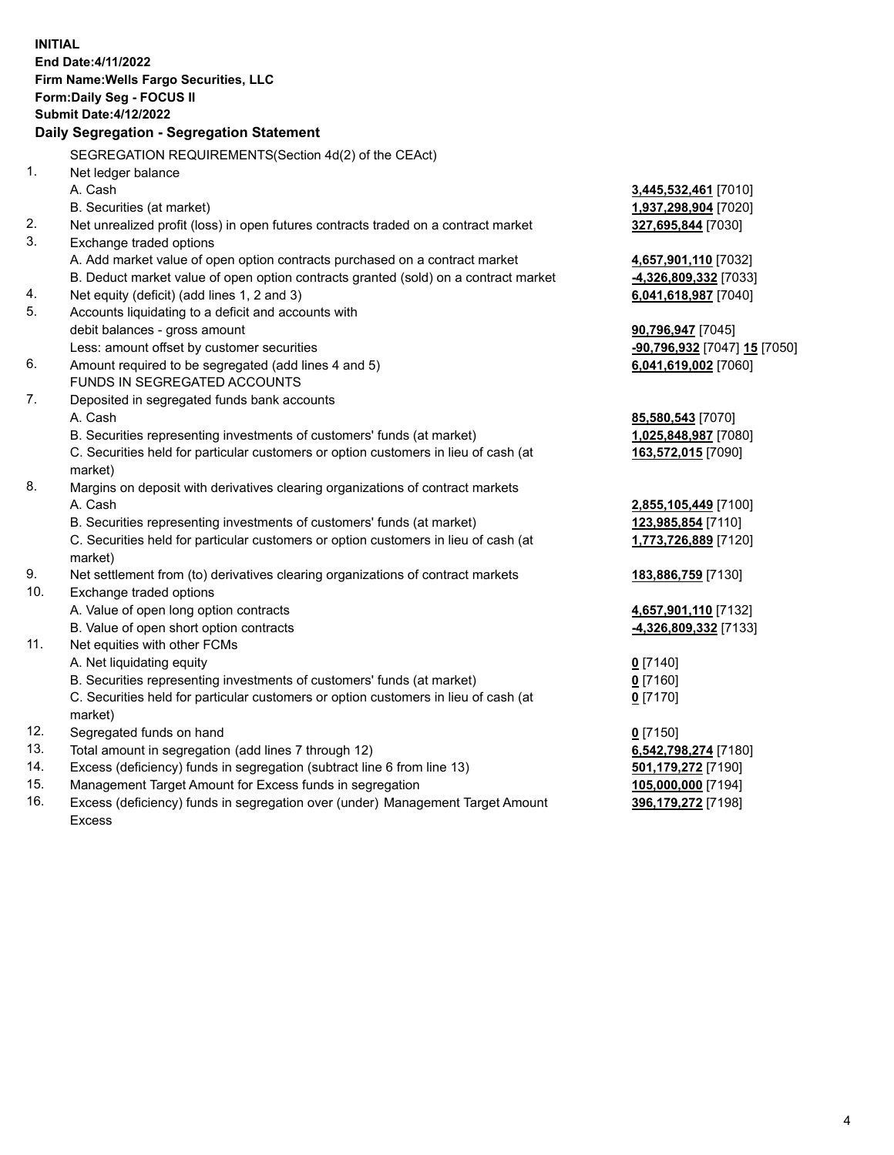**INITIAL End Date:4/11/2022 Firm Name:Wells Fargo Securities, LLC Form:Daily Seg - FOCUS II Submit Date:4/12/2022 Daily Segregation - Segregation Statement** SEGREGATION REQUIREMENTS(Section 4d(2) of the CEAct) 1. Net ledger balance A. Cash **3,445,532,461** [7010] B. Securities (at market) **1,937,298,904** [7020] 2. Net unrealized profit (loss) in open futures contracts traded on a contract market **327,695,844** [7030] 3. Exchange traded options A. Add market value of open option contracts purchased on a contract market **4,657,901,110** [7032] B. Deduct market value of open option contracts granted (sold) on a contract market **-4,326,809,332** [7033] 4. Net equity (deficit) (add lines 1, 2 and 3) **6,041,618,987** [7040] 5. Accounts liquidating to a deficit and accounts with debit balances - gross amount **90,796,947** [7045] Less: amount offset by customer securities **-90,796,932** [7047] **15** [7050] 6. Amount required to be segregated (add lines 4 and 5) **6,041,619,002** [7060] FUNDS IN SEGREGATED ACCOUNTS 7. Deposited in segregated funds bank accounts A. Cash **85,580,543** [7070] B. Securities representing investments of customers' funds (at market) **1,025,848,987** [7080] C. Securities held for particular customers or option customers in lieu of cash (at market) **163,572,015** [7090] 8. Margins on deposit with derivatives clearing organizations of contract markets A. Cash **2,855,105,449** [7100] B. Securities representing investments of customers' funds (at market) **123,985,854** [7110] C. Securities held for particular customers or option customers in lieu of cash (at market) **1,773,726,889** [7120] 9. Net settlement from (to) derivatives clearing organizations of contract markets **183,886,759** [7130] 10. Exchange traded options A. Value of open long option contracts **4,657,901,110** [7132] B. Value of open short option contracts **-4,326,809,332** [7133] 11. Net equities with other FCMs A. Net liquidating equity **0** [7140] B. Securities representing investments of customers' funds (at market) **0** [7160] C. Securities held for particular customers or option customers in lieu of cash (at market) **0** [7170] 12. Segregated funds on hand **0** [7150] 13. Total amount in segregation (add lines 7 through 12) **6,542,798,274** [7180] 14. Excess (deficiency) funds in segregation (subtract line 6 from line 13) **501,179,272** [7190] 15. Management Target Amount for Excess funds in segregation **105,000,000** [7194]

16. Excess (deficiency) funds in segregation over (under) Management Target Amount Excess

**396,179,272** [7198]